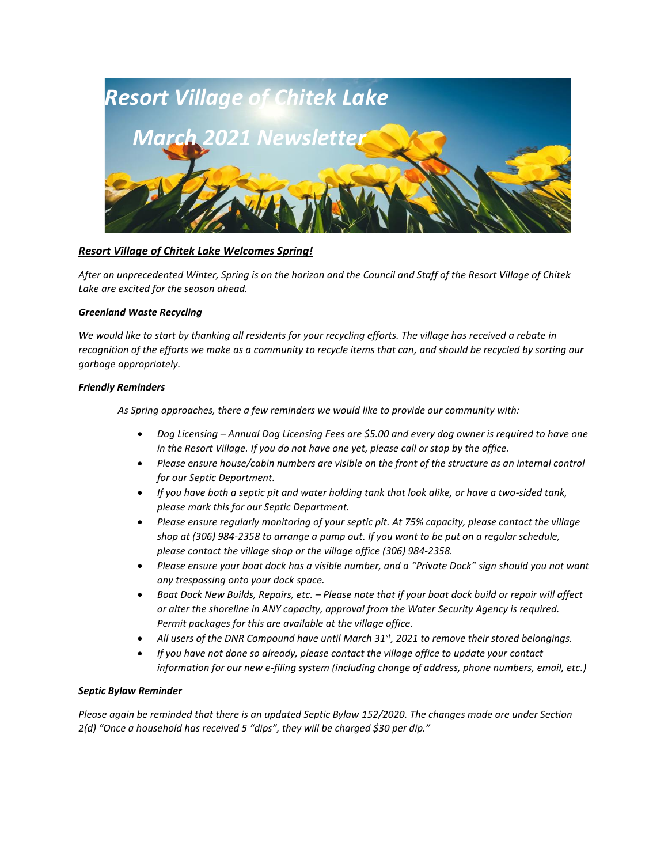

# *Resort Village of Chitek Lake Welcomes Spring!*

*After an unprecedented Winter, Spring is on the horizon and the Council and Staff of the Resort Village of Chitek Lake are excited for the season ahead.*

# *Greenland Waste Recycling*

*We would like to start by thanking all residents for your recycling efforts. The village has received a rebate in recognition of the efforts we make as a community to recycle items that can, and should be recycled by sorting our garbage appropriately.* 

# *Friendly Reminders*

*As Spring approaches, there a few reminders we would like to provide our community with:*

- *Dog Licensing – Annual Dog Licensing Fees are \$5.00 and every dog owner is required to have one in the Resort Village. If you do not have one yet, please call or stop by the office.*
- *Please ensure house/cabin numbers are visible on the front of the structure as an internal control for our Septic Department.*
- *If you have both a septic pit and water holding tank that look alike, or have a two-sided tank, please mark this for our Septic Department.*
- *Please ensure regularly monitoring of your septic pit. At 75% capacity, please contact the village shop at (306) 984-2358 to arrange a pump out. If you want to be put on a regular schedule, please contact the village shop or the village office (306) 984-2358.*
- *Please ensure your boat dock has a visible number, and a "Private Dock" sign should you not want any trespassing onto your dock space.*
- *Boat Dock New Builds, Repairs, etc. – Please note that if your boat dock build or repair will affect or alter the shoreline in ANY capacity, approval from the Water Security Agency is required. Permit packages for this are available at the village office.*
- *All users of the DNR Compound have until March 31st, 2021 to remove their stored belongings.*
- *If you have not done so already, please contact the village office to update your contact information for our new e-filing system (including change of address, phone numbers, email, etc.)*

# *Septic Bylaw Reminder*

*Please again be reminded that there is an updated Septic Bylaw 152/2020. The changes made are under Section 2(d) "Once a household has received 5 "dips", they will be charged \$30 per dip."*